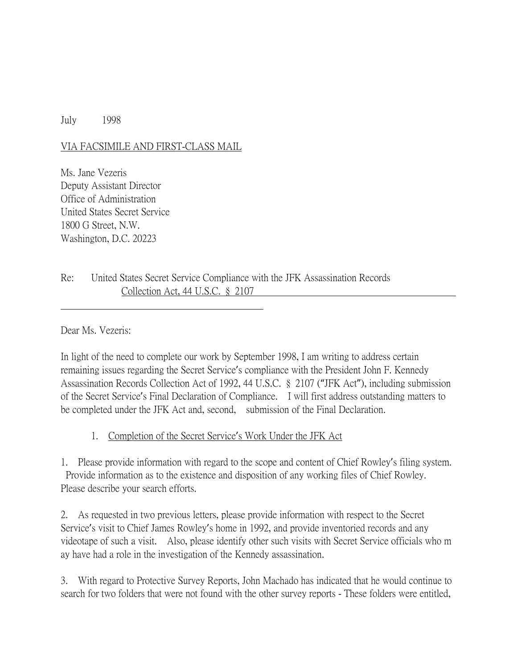## July 1998

## VIA FACSIMILE AND FIRST-CLASS MAIL

Ms. Jane Vezeris Deputy Assistant Director Office of Administration United States Secret Service 1800 G Street, N.W. Washington, D.C. 20223

Re: United States Secret Service Compliance with the JFK Assassination Records Collection Act, 44 U.S.C. § 2107

Dear Ms. Vezeris:

In light of the need to complete our work by September 1998, I am writing to address certain remaining issues regarding the Secret Service's compliance with the President John F. Kennedy Assassination Records Collection Act of 1992, 44 U.S.C. § 2107 ("JFK Act"), including submission of the Secret Service's Final Declaration of Compliance. I will first address outstanding matters to be completed under the JFK Act and, second, submission of the Final Declaration.

1. Completion of the Secret Service's Work Under the JFK Act

1. Please provide information with regard to the scope and content of Chief Rowley's filing system. Provide information as to the existence and disposition of any working files of Chief Rowley. Please describe your search efforts.

2. As requested in two previous letters, please provide information with respect to the Secret Service's visit to Chief James Rowley's home in 1992, and provide inventoried records and any videotape of such a visit. Also, please identify other such visits with Secret Service officials who m ay have had a role in the investigation of the Kennedy assassination.

3. With regard to Protective Survey Reports, John Machado has indicated that he would continue to search for two folders that were not found with the other survey reports - These folders were entitled,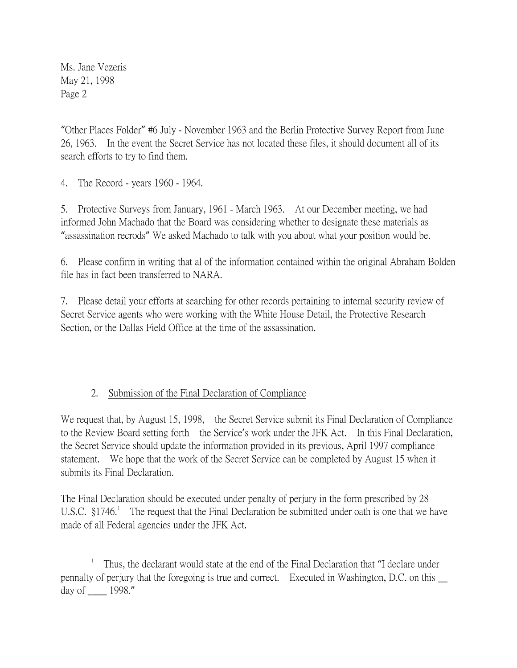Ms. Jane Vezeris May 21, 1998 Page 2

"Other Places Folder" #6 July - November 1963 and the Berlin Protective Survey Report from June 26, 1963. In the event the Secret Service has not located these files, it should document all of its search efforts to try to find them.

4. The Record - years 1960 - 1964.

5. Protective Surveys from January, 1961 - March 1963. At our December meeting, we had informed John Machado that the Board was considering whether to designate these materials as "assassination recrods" We asked Machado to talk with you about what your position would be.

6. Please confirm in writing that al of the information contained within the original Abraham Bolden file has in fact been transferred to NARA.

7. Please detail your efforts at searching for other records pertaining to internal security review of Secret Service agents who were working with the White House Detail, the Protective Research Section, or the Dallas Field Office at the time of the assassination.

## 2. Submission of the Final Declaration of Compliance

We request that, by August 15, 1998, the Secret Service submit its Final Declaration of Compliance to the Review Board setting forth the Service's work under the JFK Act. In this Final Declaration, the Secret Service should update the information provided in its previous, April 1997 compliance statement. We hope that the work of the Secret Service can be completed by August 15 when it submits its Final Declaration.

The Final Declaration should be executed under penalty of perjury in the form prescribed by 28 U.S.C.  $\S1746$  $\S1746$  $\S1746$ <sup>1</sup> The request that the Final Declaration be submitted under oath is one that we have made of all Federal agencies under the JFK Act.

<span id="page-1-0"></span> $\overline{\phantom{a}}$  Thus, the declarant would state at the end of the Final Declaration that "I declare under pennalty of perjury that the foregoing is true and correct. Executed in Washington, D.C. on this \_\_ day of \_\_\_\_ 1998."